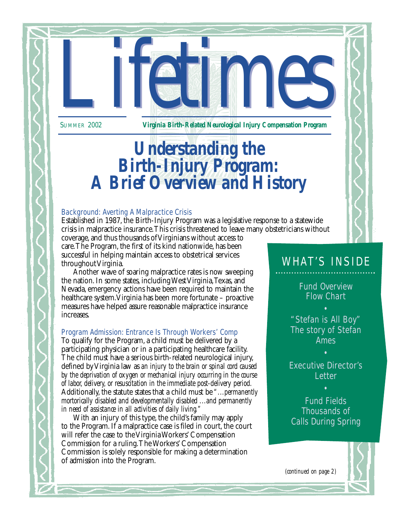*Lifetimes* 2002<br>Virginia Birth-Related Neurological Injury Compensation Program SUMMER 2002 *Virginia Birth-Related Neurological Injury Compensation Program*

# *Understanding the Birth-Injury Program: A Brief Overview and History*

#### Background: Averting A Malpractice Crisis

Established in 1987, the Birth-Injury Program was a legislative response to a statewide crisis in malpractice insurance.This crisis threatened to leave many obstetricians without

coverage, and thus thousands of Virginians without access to care.The Program, the first of its kind nationwide, has been successful in helping maintain access to obstetrical services throughout Virginia.

Another wave of soaring malpractice rates is now sweeping the nation. In some states, including West Virginia,Texas, and Nevada, emergency actions have been required to maintain the healthcare system.Virginia has been more fortunate – proactive measures have helped assure reasonable malpractice insurance increases.

#### Program Admission: Entrance Is Through Workers' Comp

To qualify for the Program, a child must be delivered by a participating physician or in a participating healthcare facility. The child must have a serious birth-related neurological injury, defined by Virginia law as *an injury to the brain or spinal cord caused by the deprivation of oxygen or mechanical injury occurring in the course of labor, delivery, or resuscitation in the immediate post-delivery period.* Additionally, the statute states that a child must be *"...permanently mortorically disabled and developmentally disabled ...and permanently in need of assistance in all activities of daily living."*

With an injury of this type, the child's family may apply to the Program. If a malpractice case is filed in court, the court will refer the case to the Virginia Workers' Compensation Commission for a ruling.The Workers' Compensation Commission is solely responsible for making a determination of admission into the Program.

## WHAT'S INSIDE

Fund Overview Flow Chart

"Stefan is All Boy" The story of Stefan Ames

Executive Director's **Letter** 

•

Fund Fields Thousands of Calls During Spring

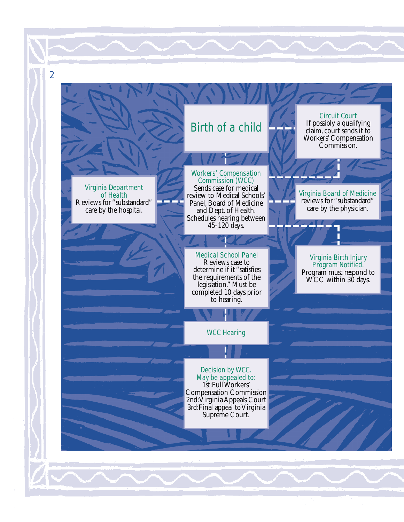Virginia Department of Health Reviews for "substandard" care by the hospital.

2

# Workers' Compensation

Birth of a child

Commission (WCC) Sends case for medical review to Medical Schools' Panel, Board of Medicine and Dept. of Health. Schedules hearing between 45-120 days.

Medical School Panel Reviews case to determine if it "satisfies the requirements of the legislation." Must be completed 10 days prior to hearing.

WCC Hearing

Decision by WCC. May be appealed to: 1st:Full Workers' Compensation Commission 2nd:Virginia Appeals Court 3rd:Final appeal to Virginia Supreme Court.

## Circuit Court If possibly a qualifying

claim, court sends it to Workers' Compensation Commission.

Virginia Board of Medicine reviews for "substandard" care by the physician.

Virginia Birth Injury Program Notified. Program must respond to WCC within 30 days.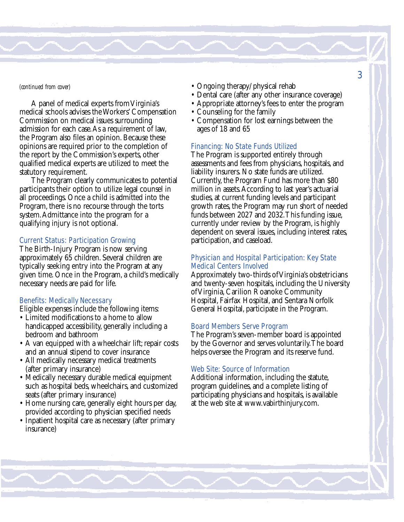#### *(continued from cover)*

A panel of medical experts from Virginia's medical schools advises the Workers' Compensation Commission on medical issues surrounding admission for each case.As a requirement of law, the Program also files an opinion. Because these opinions are required prior to the completion of the report by the Commission's experts, other qualified medical experts are utilized to meet the statutory requirement.

The Program clearly communicates to potential participants their option to utilize legal counsel in all proceedings. Once a child is admitted into the Program, there is no recourse through the torts system.Admittance into the program for a qualifying injury is not optional.

#### Current Status: Participation Growing

The Birth-Injury Program is now serving approximately 65 children. Several children are typically seeking entry into the Program at any given time. Once in the Program, a child's medically necessary needs are paid for life.

#### Benefits: Medically Necessary

Eligible expenses include the following items:

- Limited modifications to a home to allow handicapped accessibility, generally including a bedroom and bathroom
- A van equipped with a wheelchair lift; repair costs and an annual stipend to cover insurance
- All medically necessary medical treatments (after primary insurance)
- Medically necessary durable medical equipment such as hospital beds, wheelchairs, and customized seats (after primary insurance)
- Home nursing care, generally eight hours per day, provided according to physician specified needs
- Inpatient hospital care as necessary (after primary insurance)
- Ongoing therapy/physical rehab
- Dental care (after any other insurance coverage)
- Appropriate attorney's fees to enter the program
- Counseling for the family
- Compensation for lost earnings between the ages of 18 and 65

#### Financing: No State Funds Utilized

The Program is supported entirely through assessments and fees from physicians, hospitals, and liability insurers. No state funds are utilized. Currently, the Program Fund has more than \$80 million in assets.According to last year's actuarial studies, at current funding levels and participant growth rates, the Program may run short of needed funds between 2027 and 2032.This funding issue, currently under review by the Program, is highly dependent on several issues, including interest rates, participation, and caseload.

#### Physician and Hospital Participation: Key State Medical Centers Involved

Approximately two-thirds of Virginia's obstetricians and twenty-seven hospitals, including the University of Virginia, Carilion Roanoke Community Hospital, Fairfax Hospital, and Sentara Norfolk General Hospital, participate in the Program.

#### Board Members Serve Program

The Program's seven-member board is appointed by the Governor and serves voluntarily.The board helps oversee the Program and its reserve fund.

#### Web Site: Source of Information

Additional information, including the statute, program guidelines, and a complete listing of participating physicians and hospitals, is available at the web site at www.vabirthinjury.com.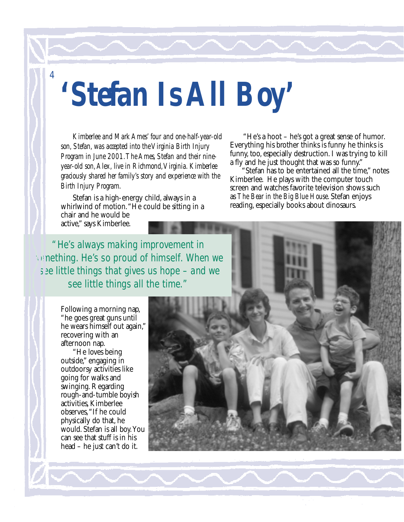4

# *'Stefan Is All Boy'*

*Kimberlee and Mark Ames' four and one-half-year-old son, Stefan, was accepted into the Virginia Birth Injury Program in June 2001.The Ames, Stefan and their nineyear-old son,Alex, live in Richmond,Virginia. Kimberlee graciously shared her family's story and experience with the Birth Injury Program.*

Stefan is a high-energy child, always in a whirlwind of motion."He could be sitting in a chair and he would be active," says Kimberlee.

"He's a hoot – he's got a great sense of humor. Everything his brother thinks is funny he thinks is funny, too, especially destruction. I was trying to kill a fly and he just thought that was so funny."

"Stefan has to be entertained all the time," notes Kimberlee. He plays with the computer touch screen and watches favorite television shows such as *The Bear in the Big Blue House*. Stefan enjoys reading, especially books about dinosaurs.

"He's always making improvement in **something. He's so proud of himself. When we** see little things that gives us hope – and we see little things all the time."

> Following a morning nap, "he goes great guns until he wears himself out again," recovering with an afternoon nap.

"He loves being outside," engaging in outdoorsy activities like going for walks and swinging. Regarding rough-and-tumble boyish activities, Kimberlee observes,"If he could physically do that, he would. Stefan is all boy.You can see that stuff is in his head – he just can't do it.

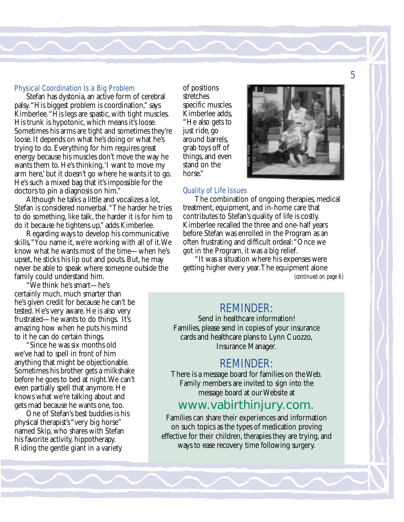#### Physical Coordination Is a Big Problem

Stefan has dystonia, an active form of cerebral palsy."His biggest problem is coordination," says Kimberlee."His legs are spastic, with tight muscles. His trunk is hypotonic, which means it's loose. Sometimes his arms are tight and sometimes they're loose. It depends on what he's doing or what he's trying to do. Everything for him requires great energy because his muscles don't move the way he wants them to. He's thinking,'I want to move my arm here,' but it doesn't go where he wants it to go. He's such a mixed bag that it's impossible for the doctors to pin a diagnosis on him."

Although he talks a little and vocalizes a lot, Stefan is considered nonverbal."The harder he tries to do something, like talk, the harder it is for him to do it because he tightens up," adds Kimberlee.

Regarding ways to develop his communicative skills,"You name it, we're working with all of it.We know what he wants most of the time—when he's upset, he sticks his lip out and pouts. But, he may never be able to speak where someone outside the family could understand him.

"We think he's smart—he's certainly much, much smarter than he's given credit for because he can't be tested. He's very aware. He is also very frustrated—he wants to do things. It's amazing how when he puts his mind to it he can do certain things.

"Since he was six months old we've had to spell in front of him anything that might be objectionable. Sometimes his brother gets a milkshake before he goes to bed at night.We can't even partially spell that anymore. He knows what we're talking about and gets mad because he wants one, too.

One of Stefan's best buddies is his physical therapist's "very big horse" named Skip, who shares with Stefan his favorite activity, hippotherapy. Riding the gentle giant in a variety

of positions stretches specific muscles. Kimberlee adds, "He also gets to just ride, go around barrels, grab toys off of things, and even stand on the horse."

#### Quality of Life Issues

The combination of ongoing therapies, medical treatment, equipment, and in-home care that contributes to Stefan's quality of life is costly. Kimberlee recalled the three and one-half years before Stefan was enrolled in the Program as an often frustrating and difficult ordeal:"Once we got in the Program, it was a big relief.

"It was a situation where his expenses were getting higher every year.The equipment alone

*(continued on page 6)*

#### REMINDER:

Send in healthcare information! Families, please send in copies of your insurance cards and healthcare plans to Lynn Cuozzo, Insurance Manager.

#### REMINDER:

There is a message board for families on the Web. Family members are invited to sign into the message board at our Website at

#### www.vabirthinjury.com.

Families can share their experiences and information on such topics as the types of medication proving effective for their children, therapies they are trying, and ways to ease recovery time following surgery.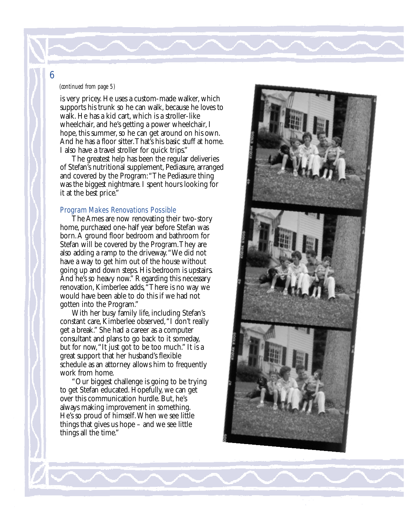#### *(continued from page 5)*

is very pricey. He uses a custom-made walker, which supports his trunk so he can walk, because he loves to walk. He has a kid cart, which is a stroller-like wheelchair, and he's getting a power wheelchair, I hope, this summer, so he can get around on his own. And he has a floor sitter.That's his basic stuff at home. I also have a travel stroller for quick trips."

The greatest help has been the regular deliveries of Stefan's nutritional supplement, Pediasure, arranged and covered by the Program:"The Pediasure thing was the biggest nightmare. I spent hours looking for it at the best price."

#### Program Makes Renovations Possible

The Ames are now renovating their two-story home, purchased one-half year before Stefan was born.A ground floor bedroom and bathroom for Stefan will be covered by the Program.They are also adding a ramp to the driveway."We did not have a way to get him out of the house without going up and down steps. His bedroom is upstairs. And he's so heavy now." Regarding this necessary renovation, Kimberlee adds,"There is no way we would have been able to do this if we had not gotten into the Program."

With her busy family life, including Stefan's constant care, Kimberlee observed,"I don't really get a break." She had a career as a computer consultant and plans to go back to it someday, but for now,"It just got to be too much." It is a great support that her husband's flexible schedule as an attorney allows him to frequently work from home.

"Our biggest challenge is going to be trying to get Stefan educated. Hopefully, we can get over this communication hurdle. But, he's always making improvement in something. He's so proud of himself.When we see little things that gives us hope – and we see little things all the time."

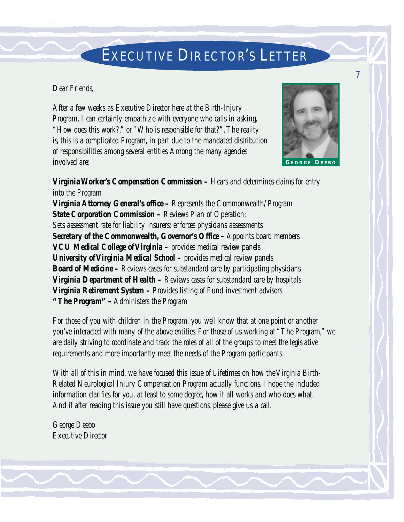## EXECUTIVE DIRECTOR'S LETTER

#### *Dear Friends,*

*After a few weeks as Executive Director here at the Birth-Injury Program, I can certainly empathize with everyone who calls in asking, "How does this work?," or "Who is responsible for that?".The reality is, this is a complicated Program, in part due to the mandated distribution of responsibilities among several entities.Among the many agencies involved are:*



*Virginia Worker's Compensation Commission – Hears and determines claims for entry into the Program Virginia Attorney General's office – Represents the Commonwealth/Program State Corporation Commission – Reviews Plan of Operation; Sets assessment rate for liability insurers; enforces physicians assessments Secretary of the Commonwealth, Governor's Office –Appoints board members VCU Medical College of Virginia – provides medical review panels University of Virginia Medical School – provides medical review panels Board of Medicine – Reviews cases for substandard care by participating physicians Virginia Department of Health – Reviews cases for substandard care by hospitals Virginia Retirement System – Provides listing of Fund investment advisors "The Program" –Administers the Program* 

*For those of you with children in the Program, you well know that at one point or another you've interacted with many of the above entities. For those of us working at "The Program," we are daily striving to coordinate and track the roles of all of the groups to meet the legislative requirements and more importantly meet the needs of the Program participants.*

*With all of this in mind, we have focused this issue of Lifetimes on how the Virginia Birth-Related Neurological Injury Compensation Program actually functions. I hope the included information clarifies for you, at least to some degree, how it all works and who does what. And if after reading this issue you still have questions, please give us a call.*

*George Deebo Executive Director*